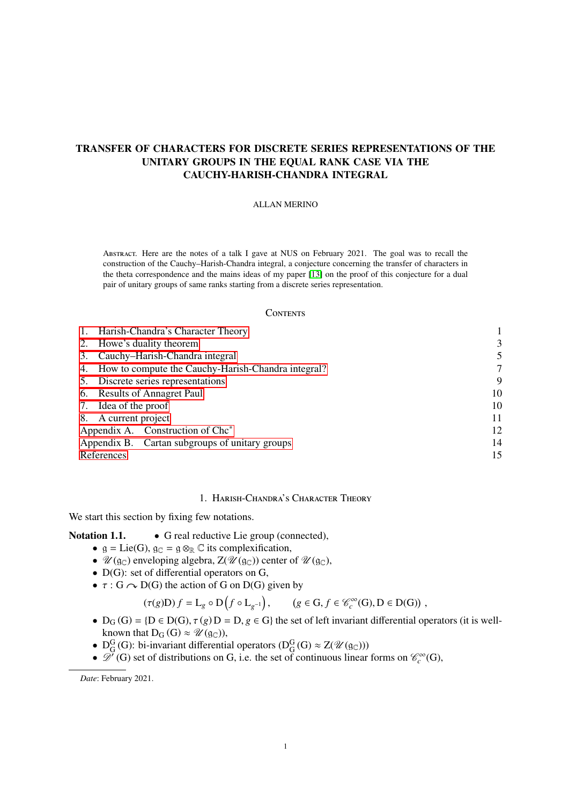# TRANSFER OF CHARACTERS FOR DISCRETE SERIES REPRESENTATIONS OF THE UNITARY GROUPS IN THE EQUAL RANK CASE VIA THE CAUCHY-HARISH-CHANDRA INTEGRAL

#### ALLAN MERINO

Abstract. Here are the notes of a talk I gave at NUS on February 2021. The goal was to recall the construction of the Cauchy–Harish-Chandra integral, a conjecture concerning the transfer of characters in the theta correspondence and the mains ideas of my paper [\[13\]](#page-14-0) on the proof of this conjecture for a dual pair of unitary groups of same ranks starting from a discrete series representation.

#### **CONTENTS**

|            | 1. Harish-Chandra's Character Theory                  |    |
|------------|-------------------------------------------------------|----|
|            | 2. Howe's duality theorem                             | 3  |
| 3.         | Cauchy–Harish-Chandra integral                        |    |
|            | 4. How to compute the Cauchy-Harish-Chandra integral? | 7  |
|            | 5. Discrete series representations                    | 9  |
|            | 6. Results of Annagret Paul                           | 10 |
|            | 7. Idea of the proof                                  | 10 |
|            | 8. A current project                                  | 11 |
|            | Appendix A. Construction of Chc <sup>*</sup>          | 12 |
|            | Appendix B. Cartan subgroups of unitary groups        | 14 |
| References |                                                       | 15 |

## 1. Harish-Chandra's Character Theory

<span id="page-0-0"></span>We start this section by fixing few notations.

### Notation 1.1. • G real reductive Lie group (connected),

- $g = Lie(G), g_C = g \otimes_{\mathbb{R}} \mathbb{C}$  its complexification,
- $\mathcal{U}(\mathfrak{g}_{\mathbb{C}})$  enveloping algebra,  $Z(\mathcal{U}(\mathfrak{g}_{\mathbb{C}}))$  center of  $\mathcal{U}(\mathfrak{g}_{\mathbb{C}})$ ,
- D(G): set of differential operators on G,
- $\tau$  : G  $\curvearrowright$  D(G) the action of G on D(G) given by<br>  $(\tau(g)D) f = L_g \circ D(f \circ L_{g^{-1}}),$  (g

$$
(\tau(g)D) f = L_g \circ D(f \circ L_{g^{-1}}), \qquad (g \in G, f \in \mathcal{C}_c^{\infty}(G), D \in D(G)),
$$

- $D_G(G) = \{D \in D(G), \tau(g) D = D, g \in G\}$  the set of left invariant differential operators (it is well-<br>known that  $D_G(G) \approx \mathcal{U}(g_G)$ ) known that  $D_G(G) \approx \mathcal{U}(\mathfrak{g}_{\mathbb{C}})$ ,
- $D_G^G(G)$ : bi-invariant differential operators  $(D_G^G(G) \approx Z(\mathcal{U}(g_C)))$
- $\mathscr{D}'(G)$  set of distributions on G, i.e. the set of continuous linear forms on  $\mathscr{C}_c^{\infty}(G)$ ,

*Date*: February 2021.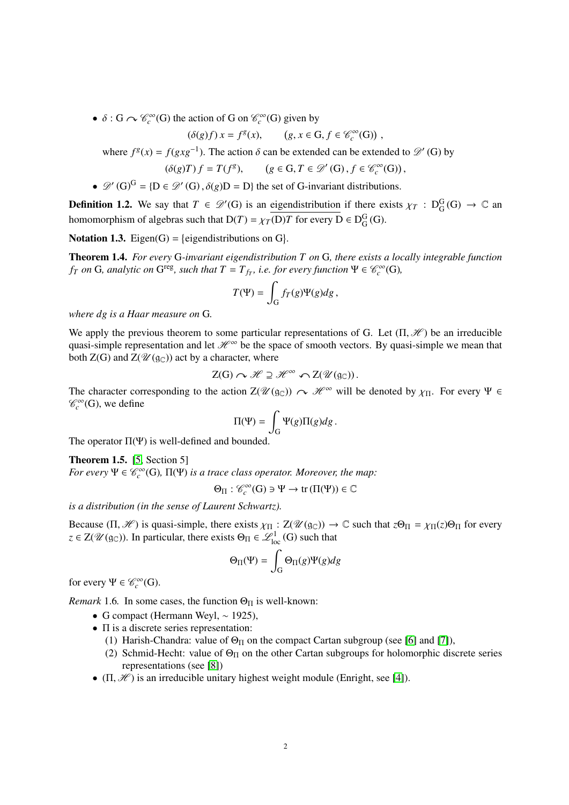•  $\delta$  : G  $\curvearrowright \mathcal{C}_c^\infty(G)$  the action of G on  $\mathcal{C}_c^\infty(G)$  given by

$$
(\delta(g)f)x = f^{g}(x), \qquad (g, x \in G, f \in \mathcal{C}_c^{\infty}(G)),
$$

where  $f^{g}(x) = f(gxg^{-1})$ . The action  $\delta$  can be extended can be extended to  $\mathcal{D}'$  (G) by

$$
(\delta(g)T) f = T(f^g), \qquad (g \in G, T \in \mathcal{D}'(G), f \in \mathcal{C}_c^{\infty}(G)).
$$

, •  $\mathscr{D}'(G)^G = \{D \in \mathscr{D}'(G), \delta(g)D = D\}$  the set of G-invariant distributions.

**Definition 1.2.** We say that  $T \in \mathcal{D}'(G)$  is an eigendistribution if there exists  $\chi_T : D_G^G(G) \to \mathbb{C}$  and there exists  $\chi_T : D_G^G(G) \to \mathbb{C}$  and the exists  $\chi_T : D_G^G(G) \to \mathbb{C}$  and homomorphism of algebras such that  $D(T) = \chi_T(D)T$  for every  $D \in D_G^G(G)$ .

**Notation 1.3.** Eigen(G) = {eigendistributions on G}.

<span id="page-1-0"></span>Theorem 1.4. *For every* G*-invariant eigendistribution T on* G*, there exists a locally integrable function f*<sub>*T*</sub> *on* G, analytic *on* G<sup>reg</sup>, such that  $T = T_{fr}$ , i.e. for every function  $\Psi \in \mathcal{C}_c^{\infty}(G)$ *,* 

$$
T(\Psi)=\int_{\mathcal{G}}f_T(g)\Psi(g)dg\,,
$$

*where dg is a Haar measure on* G*.*

We apply the previous theorem to some particular representations of G. Let  $(\Pi, \mathcal{H})$  be an irreducible quasi-simple representation and let  $\mathcal{H}^{\infty}$  be the space of smooth vectors. By quasi-simple we mean that both  $Z(G)$  and  $Z(\mathcal{U}(\mathfrak{g}_{\mathbb{C}}))$  act by a character, where

$$
Z(G) \curvearrowright \mathscr{H} \supseteq \mathscr{H}^{\infty} \curvearrowleft Z(\mathscr{U}(\mathfrak{g}_{\mathbb{C}})).
$$

The character corresponding to the action  $Z(\mathcal{U}(\mathfrak{g}_{\mathbb{C}})) \sim \mathcal{H}^{\infty}$  will be denoted by  $\chi_{\Pi}$ . For every  $\Psi \in \mathcal{L}^{\infty}(\mathbb{G})$  we define  $\mathscr{C}_c^{\infty}(\mathsf{G})$ , we define

$$
\Pi(\Psi)=\int_{\mathcal{G}}\Psi(g)\Pi(g)dg\,.
$$

The operator  $\Pi(\Psi)$  is well-defined and bounded.

**Theorem 1.5.** [\[5,](#page-14-2) Section 5]

*For every*  $\Psi \in \mathcal{C}_c^{\infty}(G)$ ,  $\Pi(\Psi)$  *is a trace class operator. Moreover, the map:* 

$$
\Theta_{\Pi} : \mathscr{C}_c^{\infty}(G) \ni \Psi \to \mathrm{tr}\,(\Pi(\Psi)) \in \mathbb{C}
$$

*is a distribution (in the sense of Laurent Schwartz).*

Because  $(\Pi, \mathcal{H})$  is quasi-simple, there exists  $\chi_{\Pi} : Z(\mathcal{U}(\mathfrak{g}_{\mathbb{C}})) \to \mathbb{C}$  such that  $z\Theta_{\Pi} = \chi_{\Pi}(z)\Theta_{\Pi}$  for every  $z \in Z(\mathcal{U}(\mathfrak{g}_{\mathbb{C}}))$ . In particular, there exists  $\Theta_{\Pi} \in \mathcal{L}^1_{loc}(G)$  such that

$$
\Theta_{\Pi}(\Psi) = \int_{G} \Theta_{\Pi}(g)\Psi(g)dg
$$

for every  $\Psi \in \mathcal{C}_c^{\infty}(G)$ .

*Remark* 1.6. In some cases, the function  $\Theta_{\Pi}$  is well-known:

- G compact (Hermann Weyl,  $\sim$  1925),
- Π is a discrete series representation:
	- (1) Harish-Chandra: value of  $\Theta_{\Pi}$  on the compact Cartan subgroup (see [\[6\]](#page-14-3) and [\[7\]](#page-14-4)),
	- (2) Schmid-Hecht: value of  $\Theta_{\Pi}$  on the other Cartan subgroups for holomorphic discrete series representations (see [\[8\]](#page-14-5))
- $(\Pi, \mathcal{H})$  is an irreducible unitary highest weight module (Enright, see [\[4\]](#page-14-6)).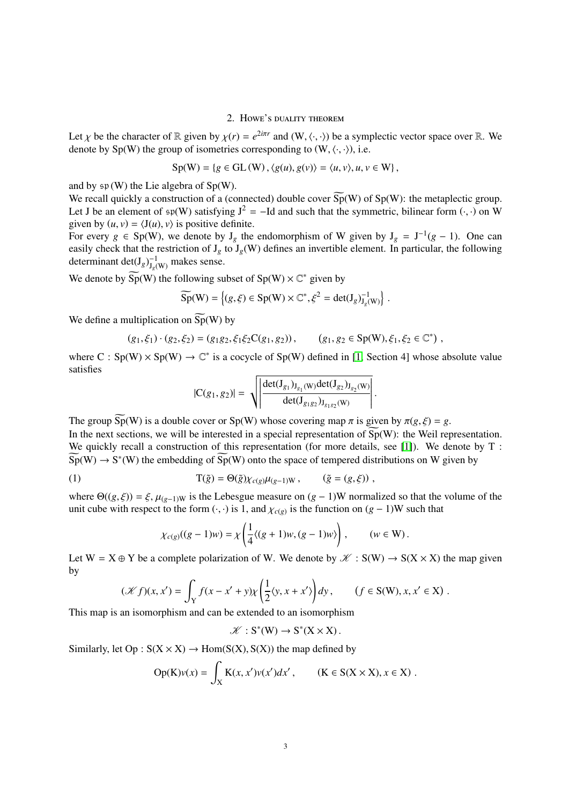#### 2. Howe's duality theorem

<span id="page-2-0"></span>Let  $\chi$  be the character of  $\mathbb R$  given by  $\chi(r) = e^{2i\pi r}$  and  $(W, \langle \cdot, \cdot \rangle)$  be a symplectic vector space over  $\mathbb R$ . We denote by Sp(W) the group of isometries corresponding to (W  $\langle \cdot, \cdot \rangle$ ) i.e. denote by  $Sp(W)$  the group of isometries corresponding to  $(W, \langle \cdot, \cdot \rangle)$ , i.e.

$$
Sp(W) = \{ g \in GL(W), \langle g(u), g(v) \rangle = \langle u, v \rangle, u, v \in W \},
$$

and by  $\mathfrak{sp}(W)$  the Lie algebra of Sp(W).

We recall quickly a construction of a (connected) double cover  $\widetilde{Sp}(W)$  of  $Sp(W)$ : the metaplectic group. Let J be an element of  $\mathfrak{sp}(W)$  satisfying  $J^2 = -Id$  and such that the symmetric, bilinear form  $(\cdot, \cdot)$  on W given by  $(u, v) = \langle J(u), v \rangle$  is positive definite.

For every  $g \in Sp(W)$ , we denote by  $J_g$  the endomorphism of W given by  $J_g = J^{-1}(g - 1)$ . One can easily check that the restriction of  $J_g$  to  $J_g(W)$  defines an invertible element. In particular, the following determinant det( $J_g$ ) $_{J_g(w)}^{-1}$  makes sense.

We denote by  $\widetilde{\text{Sp}}(W)$  the following subset of  $\text{Sp}(W) \times \mathbb{C}^*$  given by

$$
\widetilde{\mathrm{Sp}}(\mathrm{W}) = \left\{ (g, \xi) \in \mathrm{Sp}(\mathrm{W}) \times \mathbb{C}^*, \xi^2 = \det(\mathrm{J}_g)_{\mathrm{J}_g(\mathrm{W})}^{-1} \right\}
$$

We define a multiplication on  $\widetilde{\text{Sp}}(W)$  by

$$
(g_1,\xi_1)\cdot (g_2,\xi_2)=(g_1g_2,\xi_1\xi_2C(g_1,g_2)),\qquad (g_1,g_2\in Sp(W),\xi_1,\xi_2\in\mathbb{C}^*)\ ,
$$

where  $C : Sp(W) \times Sp(W) \to \mathbb{C}^*$  is a cocycle of Sp(W) defined in [\[1,](#page-14-7) Section 4] whose absolute value satisfies

$$
|C(g_1, g_2)| = \sqrt{\left| \frac{\det(J_{g_1})_{J_{g_1}(W)} \det(J_{g_2})_{J_{g_2}(W)}}{\det(J_{g_1g_2})_{J_{g_1g_2}(W)}} \right|}
$$

The group  $\widetilde{\text{Sp}}(W)$  is a double cover or  $\text{Sp}(W)$  whose covering map  $\pi$  is given by  $\pi(g,\xi) = g$ . In the next sections, we will be interested in a special representation of  $\widetilde{Sp}(W)$ : the Weil representation. We quickly recall a construction of this representation (for more details, see [\[1\]](#page-14-7)). We denote by T:  $\widetilde{Sp}(W) \to S^*(W)$  the embedding of  $\widetilde{Sp}(W)$  onto the space of tempered distributions on W given by

(1) 
$$
T(\tilde{g}) = \Theta(\tilde{g}) \chi_{c(g)} \mu_{(g-1)W}, \qquad (\tilde{g} = (g, \xi))
$$

where  $\Theta((g, \xi)) = \xi$ ,  $\mu_{(g-1)W}$  is the Lebesgue measure on  $(g-1)W$  normalized so that the volume of the unit cube with respect to the form  $(\cdot, \cdot)$  is 1, and  $\chi_{c(g)}$  is the function on  $(g - 1)$ W such that

<span id="page-2-1"></span>
$$
\chi_{c(g)}((g-1)w) = \chi\left(\frac{1}{4}\langle (g+1)w, (g-1)w \rangle\right), \qquad (w \in W).
$$

Let  $W = X \oplus Y$  be a complete polarization of W. We denote by  $\mathcal{K} : S(W) \to S(X \times X)$  the map given by

$$
(\mathcal{K}f)(x,x') = \int_Y f(x-x'+y)\chi\left(\frac{1}{2}\langle y,x+x'\rangle\right)dy, \qquad (f \in S(W), x, x' \in X).
$$

This map is an isomorphism and can be extended to an isomorphism

 $\mathscr{K}: S^*(W) \to S^*(X \times X)$ .

Similarly, let  $Op : S(X \times X) \rightarrow Hom(S(X), S(X))$  the map defined by

$$
Op(K)\nu(x) = \int_X K(x, x')\nu(x')dx', \qquad (K \in S(X \times X), x \in X).
$$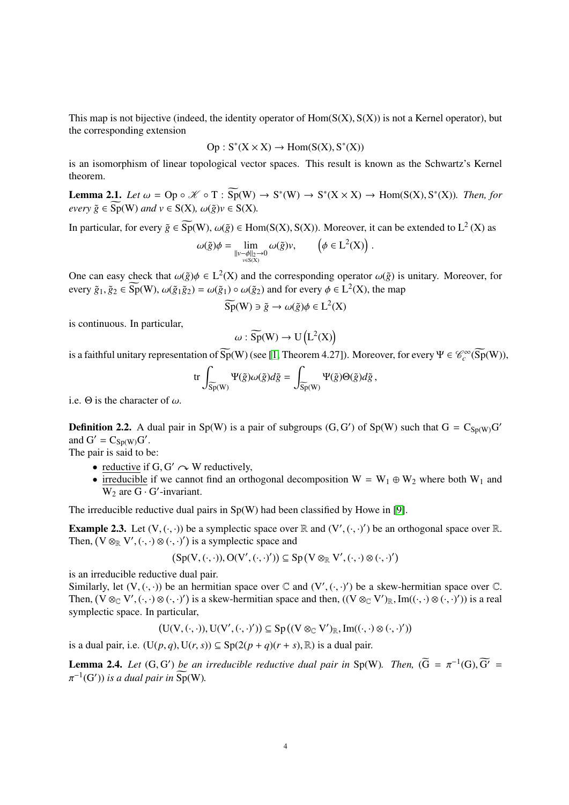This map is not bijective (indeed, the identity operator of  $Hom(S(X), S(X))$ ) is not a Kernel operator), but the corresponding extension

$$
Op: S^*(X \times X) \to Hom(S(X), S^*(X))
$$

is an isomorphism of linear topological vector spaces. This result is known as the Schwartz's Kernel theorem.

**Lemma 2.1.** *Let*  $\omega = \text{Op} \circ \mathcal{K} \circ T : \widetilde{\text{Sp}}(W) \to S^*(W) \to S^*(X \times X) \to \text{Hom}(S(X), S^*(X))$ . Then, for  $e \vee e \vee \tilde{g} \in \widetilde{\mathrm{Sp}}(W)$  *and*  $v \in S(X)$ *,*  $\omega(\tilde{g})v \in S(X)$ *.* 

In particular, for every  $\tilde{g} \in \widetilde{\mathrm{Sp}}(W)$ ,  $\omega(\tilde{g}) \in \mathrm{Hom}(\mathrm{S}(X), \mathrm{S}(X))$ . Moreover, it can be extended to  $L^2(X)$  as

$$
\omega(\tilde{g})\phi = \lim_{\substack{\|v-\phi\|_2\to 0\\v\in S(X)}} \omega(\tilde{g})v, \qquad \left(\phi\in L^2(X)\right).
$$

One can easy check that  $\omega(\tilde{g})\phi \in L^2(X)$  and the corresponding operator  $\omega(\tilde{g})$  is unitary. Moreover, for every  $\tilde{g}_x \in \widetilde{\text{Sp}}(W)$ ,  $\omega(\tilde{g}, \tilde{g}_x) = \omega(\tilde{g}_x) \circ \omega(\tilde{g}_x)$  and for every  $\phi \in L^2(Y)$ , the man every  $\tilde{g}_1, \tilde{g}_2 \in \widetilde{\text{Sp}}(W)$ ,  $\omega(\tilde{g}_1 \tilde{g}_2) = \omega(\tilde{g}_1) \circ \omega(\tilde{g}_2)$  and for every  $\phi \in L^2(X)$ , the map

$$
\widetilde{\mathrm{Sp}}(\mathrm{W}) \ni \tilde{g} \to \omega(\tilde{g})\phi \in \mathrm{L}^2(\mathrm{X})
$$

is continuous. In particular,

$$
\omega : \widetilde{\mathrm{Sp}}(W) \to \mathrm{U}\left(\mathrm{L}^2(X)\right)
$$

is a faithful unitary representation of  $\widetilde{Sp}(W)$  (see [\[1,](#page-14-7) Theorem 4.27]). Moreover, for every  $\Psi \in \mathcal{C}_c^\infty(\widetilde{Sp}(W))$ ,

$$
\mathrm{tr}\int_{\widetilde{\mathrm{Sp}}(\mathrm{W})}\Psi(\tilde{g})\omega(\tilde{g})d\tilde{g}=\int_{\widetilde{\mathrm{Sp}}(\mathrm{W})}\Psi(\tilde{g})\Theta(\tilde{g})d\tilde{g}\,,
$$

i.e.  $\Theta$  is the character of  $\omega$ .

**Definition 2.2.** A dual pair in Sp(W) is a pair of subgroups  $(G, G')$  of Sp(W) such that  $G = C_{Sp(W)}G'$ <br>and  $G' = C_{Sp(W)}G'$ and  $G' = C_{Sp(W)}G'$ .

The pair is said to be:

- reductive if  $G, G' \sim W$  reductively,
- irreducible if we cannot find an orthogonal decomposition  $W = W_1 \oplus W_2$  where both  $W_1$  and  $\overline{W_2}$  are  $\overline{G \cdot G'}$ -invariant.

The irreducible reductive dual pairs in  $Sp(W)$  had been classified by Howe in [\[9\]](#page-14-8).

**Example 2.3.** Let  $(V, (\cdot, \cdot))$  be a symplectic space over  $\mathbb{R}$  and  $(V', (\cdot, \cdot)')$  be an orthogonal space over  $\mathbb{R}$ .<br>Then  $(V \otimes_{\mathbb{R}} V', (\cdot, \cdot) \otimes (\cdot, \cdot)')$  is a symplectic space and Then,  $(V \otimes_{\mathbb{R}} V', (\cdot, \cdot) \otimes (\cdot, \cdot)')$  is a symplectic space and

$$
\left(Sp(V,(\cdot,\cdot)),O(V',(\cdot,\cdot)')\right)\subseteq Sp\left(V\otimes_{\mathbb{R}} V',(\cdot,\cdot)\otimes(\cdot,\cdot)'\right)
$$

is an irreducible reductive dual pair.

Similarly, let  $(V, (\cdot, \cdot))$  be an hermitian space over  $\mathbb C$  and  $(V', (\cdot, \cdot)')$  be a skew-hermitian space over  $\mathbb C$ .<br>Then  $(V \otimes_{\mathbb C} V', (\cdot, \cdot) \otimes (\cdot, \cdot)')$  is a skew-hermitian space and then  $((V \otimes_{\mathbb C} V')_{\mathbb C} \text{ Im}((\cdot, \cdot) \otimes$ Then,  $(\dot{V} \otimes_{\mathbb{C}} V', (\cdot, \cdot) \otimes (\cdot, \cdot)')$  is a skew-hermitian space and then,  $((V \otimes_{\mathbb{C}} V')_{\mathbb{R}}, Im((\cdot, \cdot) \otimes (\cdot, \cdot)'))$  is a real symplectic space. In particular symplectic space. In particular,

$$
(U(V, (\cdot, \cdot)), U(V', (\cdot, \cdot)')) \subseteq Sp((V \otimes_{\mathbb{C}} V')_{\mathbb{R}}, Im((\cdot, \cdot) \otimes (\cdot, \cdot)'))
$$

is a dual pair, i.e.  $(U(p, q), U(r, s)) \subseteq Sp(2(p + q)(r + s), \mathbb{R})$  is a dual pair.

**Lemma 2.4.** *Let*  $(G, G')$  *be an irreducible reductive dual pair in* Sp(W)*. Then,*  $(\widetilde{G} = \pi^{-1}(G), \widetilde{G'} = \pi^{-1}(G'))$  *is a dual pair in*  $\widetilde{S}_P(W)$  $\overline{P}^{-1}(G')$  *is a dual pair in*  $\widetilde{Sp}(W)$ *.*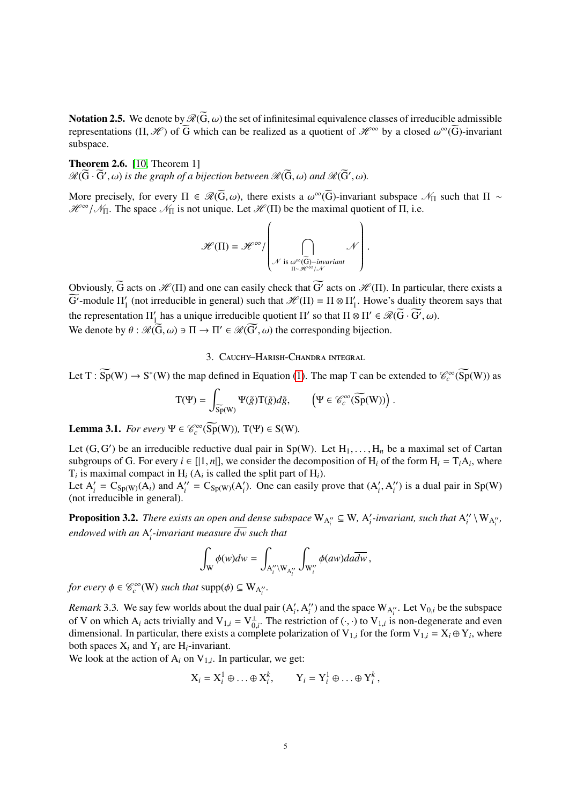**Notation 2.5.** We denote by  $\mathcal{R}(\overline{G}, \omega)$  the set of infinitesimal equivalence classes of irreducible admissible representations  $(\Pi, \mathcal{H})$  of  $\widetilde{G}$  which can be realized as a quotient of  $\mathcal{H}^{\infty}$  by a closed  $\omega^{\infty}(\widetilde{G})$ -invariant subspace subspace.

Theorem 2.6. [\[10,](#page-14-9) Theorem 1]  $\mathscr{R}(\widetilde{G}\cdot\widetilde{G}',\omega)$  is the graph of a bijection between  $\mathscr{R}(\widetilde{G},\omega)$  and  $\mathscr{R}(\widetilde{G}',\omega)$ .

More precisely, for every  $\Pi \in \mathcal{R}(\overline{G}, \omega)$ , there exists a  $\omega^{\infty}(\overline{G})$ -invariant subspace  $\mathcal{N}_{\Pi}$  such that  $\Pi \sim \mathcal{W}^{\infty}$  /  $\mathcal{N}_{\Pi}$ . The space  $\mathcal{N}_{\Pi}$  is not unique Let  $\mathcal{W}(\Pi)$  be the maximal  $\mathcal{H}^{\infty}/\mathcal{N}_{\Pi}$ . The space  $\mathcal{N}_{\Pi}$  is not unique. Let  $\mathcal{H}(\Pi)$  be the maximal quotient of  $\Pi$ , i.e.

$$
\mathcal{H}(\Pi) = \mathcal{H}^{\infty} / \left( \bigcap_{\substack{\mathcal{N} \text{ is } \omega^{\infty}(\widetilde{G})-\text{invariant} \\ \Pi \sim \mathcal{H}^{\infty}/\mathcal{N}}} \mathcal{N} \right)
$$

Obviously,  $\widetilde{G}$  acts on  $\mathcal{H}(\Pi)$  and one can easily check that  $\widetilde{G}'$  acts on  $\mathcal{H}(\Pi)$ . In particular, there exists a  $\widetilde{G'}$ -module  $\Pi'_{1}$  $\frac{1}{1}$  (not irreducible in general) such that  $\mathcal{H}(\Pi) = \Pi \otimes \Pi_1'$  $\frac{1}{1}$ . Howe's duality theorem says that the representation  $\Pi_1'$  $\frac{1}{1}$  has a unique irreducible quotient Π' so that  $\Pi \otimes \Pi' \in \mathcal{R}(\widetilde{G} \cdot \widetilde{G'}, \omega)$ .<br> $(\widetilde{G}, \omega) \ni \Pi \in \mathcal{R}(\widetilde{G'}, \omega)$  the compared in a bijection We denote by  $\theta$ :  $\mathcal{R}(\widetilde{G}, \omega) \ni \Pi \to \Pi' \in \mathcal{R}(\widetilde{G'}, \omega)$  the corresponding bijection.

### 3. Cauchy–Harish-Chandra integral

<span id="page-4-0"></span>Let T :  $\widetilde{Sp}(W) \to S^*(W)$  the map defined in Equation [\(1\)](#page-2-1). The map T can be extended to  $\mathcal{C}_c^{\infty}(\widetilde{Sp}(W))$  as

$$
T(\Psi) = \int_{\widetilde{Sp}(W)} \Psi(\tilde{g}) T(\tilde{g}) d\tilde{g}, \qquad \left( \Psi \in \mathscr{C}_c^{\infty}(\widetilde{Sp}(W)) \right)
$$

**Lemma 3.1.** *For every*  $\Psi \in \mathcal{C}_c^{\infty}(\overline{Sp}(W))$ ,  $T(\Psi) \in S(W)$ *.* 

Let  $(G, G')$  be an irreducible reductive dual pair in Sp(W). Let  $H_1, \ldots, H_n$  be a maximal set of Cartan<br>subgroups of G. For every  $i \in [1, n]$ , we consider the decomposition of H, of the form H,  $-T \cdot A$ , where subgroups of G. For every  $i \in [1, n]$ , we consider the decomposition of  $H_i$  of the form  $H_i = T_i A_i$ , where  $T_i$  is maximal compact in H. (A, is called the split part of H.)  $T_i$  is maximal compact in  $H_i$  ( $A_i$  is called the split part of  $H_i$ ).

Let  $A'_i = C_{\text{Sp}(W)}(A_i)$  and  $A''_i = C_{\text{Sp}(W)}(A'_i)$ . One can easily prove that  $(A'_i, A''_i)$ <br>(not irreducible in general)  $'_{i}$ ) is a dual pair in Sp(W) (not irreducible in general).

**Proposition 3.2.** *There exists an open and dense subspace*  $W_{A_i^{\prime\prime}} \subseteq W$ ,  $A_i^{\prime}$  $\frac{1}{i}$ -invariant, such that  $A_i''$  $''_i \setminus W_{A''_i}$ endowed with an A<sup>'</sup> *i -invariant measure dw such that*

$$
\int_{\mathcal{W}} \phi(w) dw = \int_{A''_i \backslash W_{A''_i}} \int_{W''_i} \phi(aw) da \overline{dw},
$$

*for every*  $\phi \in \mathcal{C}_c^{\infty}(W)$  *such that*  $supp(\phi) \subseteq W_{A_i''}$ .

*Remark* 3.3. We say few worlds about the dual pair  $(A'_i, A''_i)$ <br>of V on which A, acts trivially and  $V_i$ ,  $= V^{\perp}$ . The restrict  $i'$ ) and the space  $W_{A''_i}$ . Let  $V_{0,i}$  be the subspace of V on which  $A_i$  acts trivially and  $V_{1,i} = V_{0,i}^{\perp}$ . The restriction of  $(\cdot, \cdot)$  to  $V_{1,i}$  is non-degenerate and even<br>dimensional. In particular, there exists a complete polarization of  $V_{\perp}$ , for the form  $V_{\perp$ of v on which  $A_i$  acts through and v<sub>1,*i*</sub> – v<sub>0,*i*</sub>. The restriction of  $(\cdot, \cdot)$  to v<sub>1,*i*</sub> for the form V<sub>1,*i*</sub> = X<sub>*i*</sub> ⊕ Y<sub>*i*</sub>, where the state and verifies are set to the form  $A_i = X_i \oplus Y_i$ , where both spaces  $X_i$  and  $Y_i$  are  $H_i$ -invariant.

We look at the action of  $A_i$  on  $V_{1,i}$ . In particular, we get:

$$
X_i = X_i^1 \oplus \ldots \oplus X_i^k, \qquad Y_i = Y_i^1 \oplus \ldots \oplus Y_i^k,
$$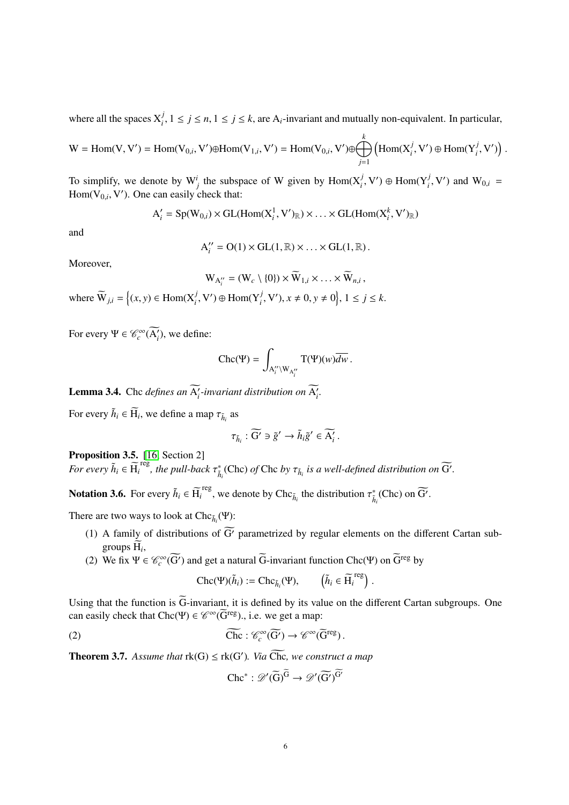where all the spaces  $X_i^j$ ,  $1 \le j \le n$ ,  $1 \le j \le k$ , are A<sub>i</sub>-invariant and mutually non-equivalent. In particular,

 $W = \text{Hom}(V, V') = \text{Hom}(V_{0,i}, V') \oplus \text{Hom}(V_{1,i}, V') = \text{Hom}(V_{0,i}, V') \oplus \bigoplus_{i=1}^{k}$ *j*=1  $\left(\text{Hom}(X_i^j, V') \oplus \text{Hom}(Y_i^j, V')\right)$ 

To simplify, we denote by  $W^i_j$  the subspace of W given by  $Hom(X^j_i, V') \oplus Hom(Y^j_i, V')$  and  $W_{0,i} = Hom(Y^j_i, V')$ . One can easily check that:  $Hom(V_{0,i}, V')$ . One can easily check that:

 $A'_{i} = Sp(W_{0,i}) \times GL(Hom(X_{i}^{1}, V')_{\mathbb{R}}) \times ... \times GL(Hom(X_{i}^{k}, V')_{\mathbb{R}})$ 

and

$$
A_i'' = O(1) \times GL(1, \mathbb{R}) \times \ldots \times GL(1, \mathbb{R}).
$$

Moreover,

$$
W_{A_i''} = (W_c \setminus \{0\}) \times \widetilde{W}_{1,i} \times \ldots \times \widetilde{W}_{n,i},
$$

where  $\widetilde{W}_{j,i} = \{(x, y) \in \text{Hom}(X_i^j, V') \oplus \text{Hom}(Y_i^j, V'), x \neq 0, y \neq 0\}, 1 \leq j \leq k.$ 

For every  $\Psi \in \mathcal{C}_c^{\infty}(\widetilde{A}_i)$ , we define:

$$
Chc(\Psi) = \int_{A_i'' \backslash W_{A_i''}} T(\Psi)(w) \overline{dw}.
$$

**Lemma 3.4.** Che *defines an*  $\widetilde{A}'_i$ -*invariant distribution on*  $\widetilde{A}'_i$ .

For every  $\tilde{h}_i \in \widetilde{H}_i$ , we define a map  $\tau_{\tilde{h}_i}$  as

$$
\tau_{\tilde{h}_i} : \widetilde{G'} \ni \tilde{g}' \to \tilde{h}_i \tilde{g}' \in \widetilde{A'_i} \, .
$$

Proposition 3.5. [\[16,](#page-14-10) Section 2]

*For every*  $\tilde{h}_i \in \widetilde{H}_i^{\text{reg}}$ , the pull-back  $\tau_{\tilde{h}_i}^{\ast}$  (Chc) of Chc by  $\tau_{\tilde{h}_i}$  is a well-defined distribution on  $\widetilde{G}'$ .

**Notation 3.6.** For every  $\tilde{h}_i \in \tilde{H}_i^{\text{reg}}$ , we denote by  $\text{Chc}_{\tilde{h}_i}$  the distribution  $\tau_{\tilde{h}_i}^*(\text{Chc})$  on  $\widetilde{G}'$ .

There are two ways to look at  $\text{Chc}_{\tilde{h}_i}(\Psi)$ :

- (1) A family of distributions of  $\widetilde{G}$  parametrized by regular elements on the different Cartan subgroups  $H_i$ ,
- (2) We fix  $\Psi \in \mathcal{C}_c^{\infty}(\widetilde{G'})$  and get a natural  $\widetilde{G}$ -invariant function Chc( $\Psi$ ) on  $\widetilde{G}^{reg}$  by

$$
\mathrm{Chc}(\Psi)(\tilde{h}_i) := \mathrm{Chc}_{\tilde{h}_i}(\Psi), \qquad \left(\tilde{h}_i \in \widetilde{\mathrm{H}_i}^{\mathrm{reg}}\right)
$$

Using that the function is  $\widetilde{G}$ -invariant, it is defined by its value on the different Cartan subgroups. One can easily check that  $\text{Chc}(\Psi) \in \mathscr{C}^{\infty}(\widetilde{G}^{\text{reg}})$ ., i.e. we get a map:

(2) 
$$
\widetilde{\text{Chc}}: \mathscr{C}_c^{\infty}(\widetilde{G}') \to \mathscr{C}^{\infty}(\widetilde{G}^{\text{reg}}).
$$

<span id="page-5-0"></span>**Theorem 3.7.** Assume that  $rk(G) \leq rk(G')$ . Via  $\widetilde{Chc}$ , we construct a map

<span id="page-5-1"></span>
$$
\operatorname{Chc}^* : \mathscr{D}'(\widetilde{G})^{\widetilde{G}} \to \mathscr{D}'(\widetilde{G}')^{\widetilde{G}'}
$$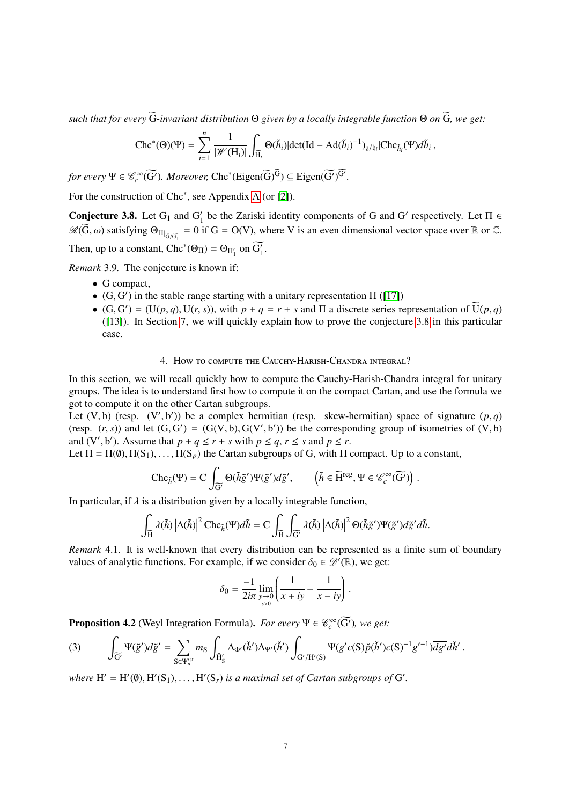*such that for every*  $\widetilde{G}$ -*invariant distribution*  $\Theta$  *given by a locally integrable function*  $\Theta$  *on*  $\widetilde{G}$ *, we get:* 

$$
\operatorname{Chc}^*(\Theta)(\Psi)=\sum_{i=1}^n\frac{1}{|\mathscr{W}(\mathrm{H}_i)|}\int_{\widetilde{\mathrm{H}_i}}\Theta(\widetilde{h}_i)|\textrm{det}(\mathrm{Id}-\mathrm{Ad}(\widetilde{h}_i)^{-1})_{g/b_i}|\mathrm{Chc}_{\widetilde{h}_i}(\Psi)d\widetilde{h}_i\,,
$$

*for every*  $\Psi \in \mathcal{C}_c^\infty(\widetilde{G'})$ . *Moreover*,  $Chc^*(Eigen(\widetilde{G})^{\widetilde{G}}) \subseteq Eigen(\widetilde{G'})^{\widetilde{G'}}$ .

For the construction of Chc<sup>∗</sup> , see Appendix [A](#page-11-0) (or [\[2\]](#page-14-11)).

<span id="page-6-1"></span>**Conjecture 3.8.** Let  $G_1$  and  $G'_1$  be the Zariski identity components of G and G' respectively. Let  $\Pi \in \Pi$  $\mathscr{R}(\widetilde{G}, \omega)$  satisfying  $\Theta_{\Pi|_{\widetilde{G}/\widetilde{G_1}}} = 0$  if  $G = O(V)$ , where V is an even dimensional vector space over  $\mathbb R$  or  $\mathbb C$ . Then, up to a constant,  $\text{Chc}^*(\Theta_{\Pi}) = \Theta_{\Pi'_1}$  on  $\widetilde{G'_1}$ .

*Remark* 3.9*.* The conjecture is known if:

- G compact,
- (G, G') in the stable range starting with a unitary representation  $\Pi$  ([\[17\]](#page-14-12))<br>
(G, G') = (U(n, a)  $\Pi(x, s)$ ) with  $n + a = x + s$  and  $\Pi$  a discrete series re-
- (G, G') = (U(*p*, *q*), U(*r*, *s*)), with  $p + q = r + s$  and  $\Pi$  a discrete series representation of  $\overline{U}(p, q)$ <br>([13]) In Section 7, we will quickly explain how to prove the conjecture 3.8 in this particular ([\[13\]](#page-14-0)). In Section [7,](#page-9-1) we will quickly explain how to prove the conjecture [3.8](#page-6-1) in this particular case.

### 4. How to compute the Cauchy-Harish-Chandra integral?

<span id="page-6-0"></span>In this section, we will recall quickly how to compute the Cauchy-Harish-Chandra integral for unitary groups. The idea is to understand first how to compute it on the compact Cartan, and use the formula we got to compute it on the other Cartan subgroups.

Let  $(V, b)$  (resp.  $(V', b')$ ) be a complex hermitian (resp. skew-hermitian) space of signature  $(p, q)$ <br>(resp.  $(r, s)$ ) and let  $(G, G') - (G(V, b) G(V', b'))$  be the corresponding group of isometries of  $(V, b)$ (resp.  $(r, s)$ ) and let  $(G, G') = (G(V, b), G(V', b'))$  be the corresponding group of isometries of  $(V, b)$ <br>and  $(V', b')$ . Assume that  $n + a \le r + s$  with  $n \le a, r \le s$  and  $n \le r$ . and  $(V', b')$ . Assume that  $p + q \le r + s$  with  $p \le q, r \le s$  and  $p \le r$ .<br>Let  $H = H(\emptyset)$   $H(S_1)$   $H(S_2)$  the Cartan subgroups of G with H  $\emptyset$ 

Let  $H = H(\emptyset), H(S_1), \ldots, H(S_p)$  the Cartan subgroups of G, with H compact. Up to a constant,

$$
\mathrm{Chc}_{\tilde{h}}(\Psi)=C\int_{\widetilde{G}'}\Theta(\tilde{h}\tilde{g}')\Psi(\tilde{g}')d\tilde{g}',\qquad \left(\tilde{h}\in \widetilde{H}^{\mathrm{reg}},\Psi\in \mathscr{C}_c^\infty(\widetilde{G'})\right).
$$

In particular, if  $\lambda$  is a distribution given by a locally integrable function,

$$
\int_{\widetilde{H}} \lambda(\tilde{h}) \left| \Delta(\tilde{h}) \right|^2 \mathrm{Chc}_{\tilde{h}}(\Psi) d\tilde{h} = C \int_{\widetilde{H}} \int_{\widetilde{G}'} \lambda(\tilde{h}) \left| \Delta(\tilde{h}) \right|^2 \Theta(\tilde{h}\tilde{g}') \Psi(\tilde{g}') d\tilde{g}' d\tilde{h}.
$$

*Remark* 4.1*.* It is well-known that every distribution can be represented as a finite sum of boundary values of analytic functions. For example, if we consider  $\delta_0 \in \mathscr{D}'(\mathbb{R})$ , we get:

$$
\delta_0 = \frac{-1}{2i\pi} \lim_{\substack{y \to 0 \\ y > 0}} \left( \frac{1}{x + iy} - \frac{1}{x - iy} \right).
$$

**Proposition 4.2** (Weyl Integration Formula). *For every*  $\Psi \in \mathcal{C}_c^{\infty}(\widetilde{G}')$ , we get:

$$
(3) \qquad \int_{\widetilde{G}'} \Psi(\tilde{g}') d\tilde{g}' = \sum_{S \in \Psi_n^{rst}} m_S \int_{\check{H}_S'} \Delta_{\Phi'}(\check{h}') \Delta_{\Psi'}(\check{h}') \int_{G'/H'(S)} \Psi(g'c(S)\check{p}(\check{h}')c(S)^{-1}g'^{-1}) \overline{dg'}d\check{h}'.
$$

where  $H' = H'(\emptyset), H'(S_1), \ldots, H'(S_r)$  *is a maximal set of Cartan subgroups of* G'.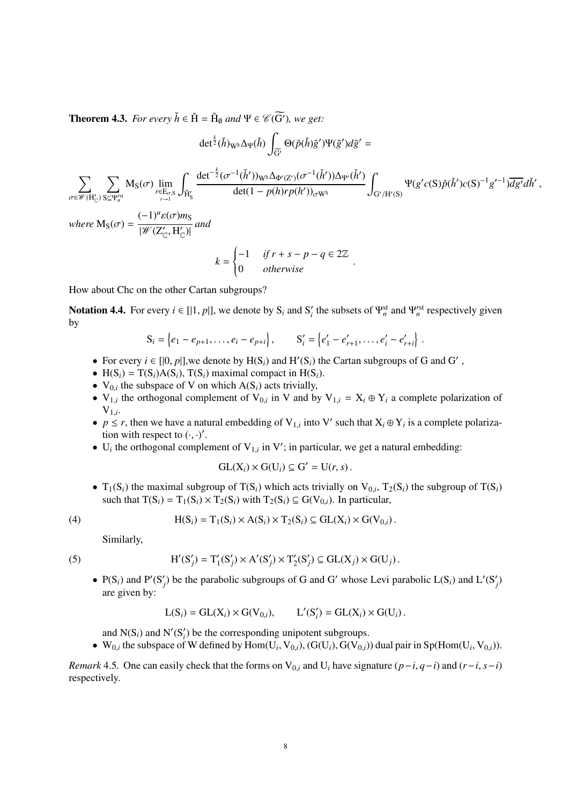**Theorem 4.3.** *For every*  $\check{h} \in \check{H} = \check{H}_{\emptyset}$  *and*  $\Psi \in \mathscr{C}(\widetilde{G'})$ *, we get:* 

$$
\det^{\frac{k}{2}}(\check{h})_{W^{\mathfrak{h}}}\Delta_{\Psi}(\check{h})\int_{\widetilde{G}'}\Theta(\check{p}(\check{h})\tilde{g}')\Psi(\tilde{g}')d\tilde{g}' =
$$
\n
$$
\sum_{\sigma\in\mathscr{W}(H'_{C})}\sum_{S\subseteq\Psi_{n}^{sst}}M_{S}(\sigma)\lim_{r\in E_{\sigma,S}}\int_{\check{H}'_{S}}\frac{\det^{-\frac{k}{2}}(\sigma^{-1}(\check{h}'))_{W^{\mathfrak{h}}}\Delta_{\Phi'(Z')}(\sigma^{-1}(\check{h}'))\Delta_{\Psi'}(\check{h}')}{\det(1-p(h)rp(h'))_{\sigma W^{\mathfrak{h}}}}\int_{G'/H'(S)}\Psi(g'c(S)\check{p}(\check{h}')c(S)^{-1}g'^{-1})\overline{dg'}d\check{h}',
$$
\nwhere  $M_{S}(\sigma) = \frac{(-1)^{u}\varepsilon(\sigma)m_{S}}{|\mathscr{W}(Z'_{C},H'_{C})|}$  and

$$
k = \begin{cases} -1 & \text{if } r + s - p - q \in 2\mathbb{Z} \\ 0 & \text{otherwise} \end{cases}
$$

How about Chc on the other Cartan subgroups?

**Notation 4.4.** For every  $i \in [[1, p]],$  we denote by  $S_i$  and  $S'_i$  the subsets of  $\Psi_n^{\text{st}}$  and  $\Psi_n^{\text{rst}}$  respectively given by by

$$
S_i = \{e_1 - e_{p+1}, \dots, e_i - e_{p+i}\}, \qquad S'_i = \{e'_1 - e'_{r+1}, \dots, e'_i - e'_{r+i}\}
$$

- For every  $i \in [[0, p]],$  we denote by  $H(S_i)$  and  $H'(S_i)$  the Cartan subgroups of G and G',<br>•  $H(S_i) T(S_i) \Delta(S_i)$   $T(S_i)$  maximal compact in  $H(S_i)$
- H(S<sub>*i*</sub>) = T(S<sub>*i*</sub>)A(S<sub>*i*</sub>), T(S<sub>*i*</sub>) maximal compact in H(S<sub>*i*</sub>).
- $V_{0,i}$  the subspace of V on which  $A(S_i)$  acts trivially,
- $V_{1,i}$  the orthogonal complement of  $V_{0,i}$  in V and by  $V_{1,i} = X_i \oplus Y_i$  a complete polarization of  $V_{1,i}$ .
- $p \le r$ , then we have a natural embedding of V<sub>1,*i*</sub> into V' such that  $X_i \oplus Y_i$  is a complete polarization with respect to  $(\cdot, \cdot)'$ tion with respect to  $(\cdot, \cdot)'$ .<br>U the orthogonal complete
- U<sub>i</sub> the orthogonal complement of  $V_{1,i}$  in V'; in particular, we get a natural embedding:

$$
\mathrm{GL}(X_i)\times \mathrm{G}(U_i)\subseteq \mathrm{G}'=\mathrm{U}(r,s)\,.
$$

•  $T_1(S_i)$  the maximal subgroup of  $T(S_i)$  which acts trivially on  $V_{0,i}$ ,  $T_2(S_i)$  the subgroup of  $T(S_i)$ <br>such that  $T(S_i) = T_1(S_i) \times T_2(S_i)$  with  $T_2(S_i) \subseteq G(Y_{0,i})$ . In particular such that  $T(S_i) = T_1(S_i) \times T_2(S_i)$  with  $T_2(S_i) \subseteq G(V_{0,i})$ . In particular,

$$
(4)
$$

 $(5)$ 

(4) 
$$
H(S_i) = T_1(S_i) \times A(S_i) \times T_2(S_i) \subseteq GL(X_i) \times G(V_{0,i}).
$$

Similarly,

<span id="page-7-0"></span>
$$
H'(S'_j) = T'_1(S'_j) \times A'(S'_j) \times T'_2(S'_j) \subseteq GL(X_j) \times G(U_j).
$$

•  $P(S_i)$  and  $P'(S'_j)$  be the parabolic subgroups of G and G' whose Levi parabolic  $L(S_i)$  and  $L'(S'_j)$ are given by:

$$
L(S_i) = GL(X_i) \times G(V_{0,i}), \qquad L'(S'_i) = GL(X_i) \times G(U_i).
$$

and  $N(S_i)$  and  $N'(S'_i)$  be the corresponding unipotent subgroups.

•  $W_{0,i}$  the subspace of W defined by  $Hom(U_i, V_{0,i}), (G(U_i), G(V_{0,i}))$  dual pair in Sp(Hom(U<sub>*i*</sub>, V<sub>0,*i*</sub>)).

*Remark* 4.5. One can easily check that the forms on  $V_{0,i}$  and  $U_i$  have signature  $(p-i, q-i)$  and  $(r-i, s-i)$ respectively.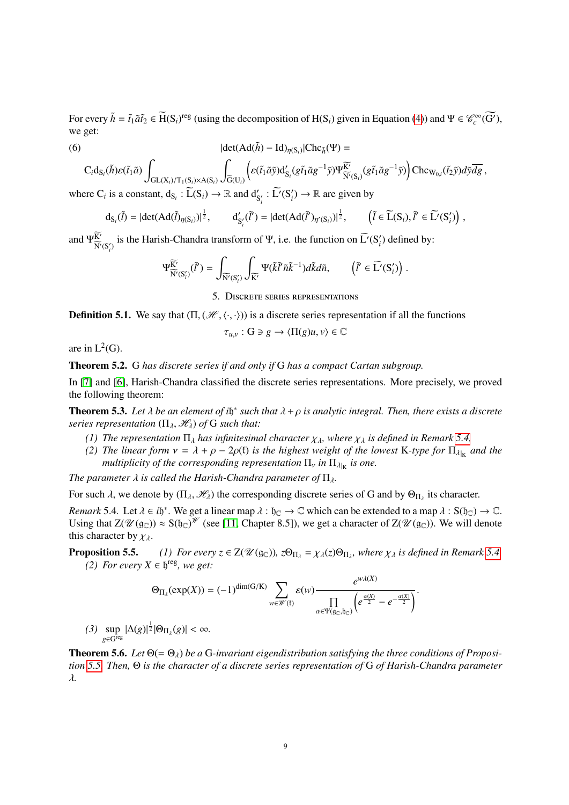For every  $\tilde{h} = \tilde{t}_1 \tilde{a} \tilde{t}_2 \in \tilde{H}(S_i)$ <sup>reg</sup> (using the decomposition of  $H(S_i)$  given in Equation [\(4\)](#page-7-0)) and  $\Psi \in \mathcal{C}_c^{\infty}(\widetilde{G'})$ , we get:

(6) 
$$
|\det(\text{Ad}(\tilde{h}) - \text{Id})_{\eta(S_i)}| \text{Chc}_{\tilde{h}}(\Psi) =
$$

$$
C_i d_{S_i}(\tilde{h}) \mathcal{E}(\tilde{t}_1 \tilde{a}) \int_{GL(X_i)/T_1(S_i)\times A(S_i)} \int_{\widetilde{G}(U_i)} \left( \mathcal{E}(\tilde{t}_1 \tilde{a}\tilde{y}) d'_{S_i} (g\tilde{t}_1 \tilde{a}g^{-1}\tilde{y}) \Psi^{\widetilde{K'}}_{\widetilde{N'}(S_i)}(g\tilde{t}_1 \tilde{a}g^{-1}\tilde{y}) \right) Chc_{W_{0,i}}(\tilde{t}_2 \tilde{y}) d\tilde{y} \overline{dg},
$$

where C<sub>*i*</sub> is a constant,  $d_{S_i}: \widetilde{L}(S_i) \to \mathbb{R}$  and  $d'_{S'_i}: \widetilde{L'}(S'_i) \to \mathbb{R}$  are given by

$$
d_{S_i}(\tilde{l}) = |det(Ad(\tilde{l})_{\eta(S_i)})|^{\frac{1}{2}}, \qquad d'_{S'_i}(\tilde{l}') = |det(Ad(\tilde{l}')_{\eta'(S_i)})|^{\frac{1}{2}}, \qquad (\tilde{l} \in \widetilde{L}(S_i), \tilde{l}' \in \widetilde{L}'(S'_i)),
$$

and  $\Psi_{\widetilde{\mathbf{N}}_{U}}^{K}$  $\frac{K'}{N'(S'_i)}$  is the Harish-Chandra transform of Ψ, i.e. the function on  $\widetilde{L'}(S'_i)$  defined by:

$$
\Psi^{\widetilde{\mathbb{K'}}}_{\widetilde{\mathbb{N}'}(S'_i)}(\widetilde{l}')=\int_{\widetilde{\mathbb{N}'}(S'_i)}\int_{\widetilde{\mathbb{K}'}}\Psi(\widetilde{k}\widetilde{l}'\widetilde{n}\widetilde{k}^{-1})d\widetilde{k}d\widetilde{n},\qquad \left(\widetilde{l}'\in \widetilde{L'}(S'_i)\right)\,.
$$

5. Discrete series representations

<span id="page-8-0"></span>**Definition 5.1.** We say that  $(\Pi, (\mathcal{H}, \langle \cdot, \cdot \rangle))$  is a discrete series representation if all the functions

$$
\tau_{u,v}: \mathcal{G} \ni g \to \langle \Pi(g)u, v \rangle \in \mathbb{C}
$$

are in  $L^2(G)$ .

Theorem 5.2. G *has discrete series if and only if* G *has a compact Cartan subgroup.*

In [\[7\]](#page-14-4) and [\[6\]](#page-14-3), Harish-Chandra classified the discrete series representations. More precisely, we proved the following theorem:

**Theorem 5.3.** Let  $\lambda$  be an element of i $\mathfrak{h}^*$  such that  $\lambda + \rho$  is analytic integral. Then, there exists a discrete<br>series representation ( $\Pi$ ,  $\mathcal{H}$ ) of G such that: *series representation*  $(\Pi_{\lambda}, \mathcal{H}_{\lambda})$  *of* G *such that:* 

- *(1) The representation*  $\Pi_{\lambda}$  *has infinitesimal character*  $\chi_{\lambda}$ *, where*  $\chi_{\lambda}$  *is defined in Remark* 5.4*,*
- <span id="page-8-3"></span>*(2) The linear form*  $v = \lambda + \rho - 2\rho(f)$  *is the highest weight of the lowest* K-type for  $\Pi_{\lambda|_K}$  *and the multiplicity of the corresponding representation*  $\Pi$  *in*  $\Pi_{\lambda}$  *is one multiplicity of the corresponding representation*  $\Pi_{\nu}$  *in*  $\Pi_{\lambda|K}$  *is one.*

*The parameter*  $\lambda$  *is called the Harish-Chandra parameter of*  $\Pi_{\lambda}$ *.* 

For such  $\lambda$ , we denote by  $(\Pi_{\lambda}, \mathcal{H}_{\lambda})$  the corresponding discrete series of G and by  $\Theta_{\Pi_{\lambda}}$  its character.

<span id="page-8-1"></span>*Remark* 5.4. Let  $\lambda \in i\mathfrak{h}^*$ . We get a linear map  $\lambda : \mathfrak{h}_{\mathbb{C}} \to \mathbb{C}$  which can be extended to a map  $\lambda : S(\mathfrak{h}_{\mathbb{C}}) \to \mathbb{C}$ .<br>Using that  $7(\mathcal{U}(\alpha_{\mathbb{C}})) \approx S(\mathfrak{h}_{\mathbb{C}})^{\mathcal{W}}$  (see [11] Chanter 8.51) Using that  $Z(\mathscr{U}(\mathfrak{g}_{\mathbb{C}})) \approx S(\mathfrak{h}_{\mathbb{C}})^{\mathscr{W}}$  (see [\[11,](#page-14-13) Chapter 8.5]), we get a character of  $Z(\mathscr{U}(\mathfrak{g}_{\mathbb{C}}))$ . We will denote this character by  $\chi_{\lambda}$ .<br>**Proposition 5.5.** 

**Proposition 5.5.** *(1) For every*  $z \in Z(\mathcal{U}(\mathfrak{g}_{\mathbb{C}}))$ ,  $z\Theta_{\Pi_{\lambda}} = \chi_{\lambda}(z)\Theta_{\Pi_{\lambda}}$ , where  $\chi_{\lambda}$  is defined in Remark [5.4.](#page-8-1) *(2) For every*  $X \in \mathbb{N}^{\text{reg}}$  *we get: (2) For every*  $X \in \mathfrak{h}^{\text{reg}}$ *, we get:* 

$$
\Theta_{\Pi_{\lambda}}(\exp(X)) = (-1)^{\dim(G/K)} \sum_{w \in \mathscr{W}(\mathfrak{k})} \varepsilon(w) \frac{e^{w\lambda(X)}}{\prod\limits_{\alpha \in \Psi(\mathfrak{g}_\mathbb{C}, \mathfrak{h}_\mathbb{C})} \left(e^{\frac{\alpha(X)}{2}} - e^{-\frac{\alpha(X)}{2}}\right)}.
$$

<span id="page-8-2"></span>*(3)* sup *g*∈Greg  $|\Delta(g)|^{\frac{1}{2}} |\Theta_{\Pi_{\lambda}}(g)| < \infty.$ 

**Theorem 5.6.** *Let*  $\Theta$ (=  $\Theta$ <sub>λ</sub>) *be a* G-invariant eigendistribution satisfying the three conditions of Proposi*tion [5.5.](#page-8-2) Then,* Θ *is the character of a discrete series representation of* G *of Harish-Chandra parameter* λ*.*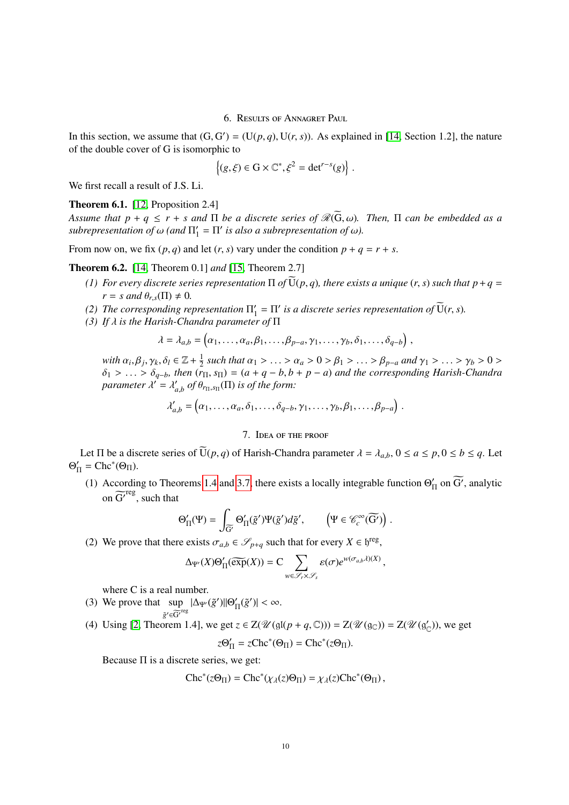6. Results of Annagret Paul

<span id="page-9-0"></span>In this section, we assume that  $(G, G') = (U(p, q), U(r, s))$ . As explained in [\[14,](#page-14-14) Section 1.2], the nature of the double cover of G is isomorphic to of the double cover of G is isomorphic to

$$
\{(g,\xi)\in G\times\mathbb{C}^*,\xi^2=\det^{r-s}(g)\}.
$$

We first recall a result of J.S. Li.

### **Theorem 6.1.** [\[12,](#page-14-15) Proposition 2.4]

*Assume that p* + *q*  $\leq$  *r* + *s* and  $\Pi$  *be a discrete series of*  $\mathcal{R}(\widetilde{G}, \omega)$ *. Then,*  $\Pi$  *can be embedded as a*  $subrepresentation$  of  $\omega$  (and  $\Pi'_1$  $\mathcal{L}_1' = \Pi'$  *is also a subrepresentation of ω*).

From now on, we fix  $(p, q)$  and let  $(r, s)$  vary under the condition  $p + q = r + s$ .

Theorem 6.2. [\[14,](#page-14-14) Theorem 0.1] *and* [\[15,](#page-14-16) Theorem 2.7]

- *(1)* For every discrete series representation  $\Pi$  of  $\overline{U}(p,q)$ , there exists a unique  $(r, s)$  such that  $p + q =$  $r = s$  and  $\theta_{r,s}(\Pi) \neq 0$ .
- (2) The corresponding representation  $\Pi_1'$  $\tilde{H}_1 = \Pi'$  is a discrete series representation of  $\tilde{U}(r, s)$ .<br>*Pr* of  $\Pi$
- <span id="page-9-2"></span>*(3) If* λ *is the Harish-Chandra parameter of* <sup>Π</sup>

$$
\lambda = \lambda_{a,b} = (\alpha_1, \ldots, \alpha_a, \beta_1, \ldots, \beta_{p-a}, \gamma_1, \ldots, \gamma_b, \delta_1, \ldots, \delta_{q-b}),
$$

*with*  $\alpha_i, \beta_j, \gamma_k, \delta_l \in \mathbb{Z} + \frac{1}{2}$ <br> $\delta_i > \delta_j$ , then (r , β*j*  $\frac{1}{2}$  such that  $\alpha_1 > \ldots > \alpha_a > 0 > \beta_1 > \ldots > \beta_{p-a}$  and  $\gamma_1 > \ldots > \gamma_b > 0 >$ <br> $\alpha_{p-a} > \alpha_{p-a} > 0$  and the corresponding Harish-Chandra  $\delta_1 > \ldots > \delta_{q-b}$ , then  $(r_{\Pi}, s_{\Pi}) = (a + q - b, b + p - a)$  and the corresponding Harish-Chandra<br>parameter  $\lambda' = \lambda'$  of  $\theta$  (II) is of the form:  $parameter \lambda' = \lambda'_{\lambda}$  $\int_{a,b}^{\prime}$  *of*  $\theta_{r_{\Pi},s_{\Pi}}(\Pi)$  *is of the form:* 

$$
\lambda'_{a,b} = (\alpha_1,\ldots,\alpha_a,\delta_1,\ldots,\delta_{q-b},\gamma_1,\ldots,\gamma_b,\beta_1,\ldots,\beta_{p-a}).
$$

### 7. Idea of the proof

<span id="page-9-1"></span>Let  $\Pi$  be a discrete series of  $\widetilde{U}(p,q)$  of Harish-Chandra parameter  $\lambda = \lambda_{a,b}$ ,  $0 \le a \le p, 0 \le b \le q$ . Let  $Θ_1'$  $I_{\Pi}' = \text{Chc}^*(\Theta_{\Pi}).$ 

(1) According to Theorems [1.4](#page-1-0) and [3.7,](#page-5-0) there exists a locally integrable function  $\Theta_1'$  $\int_{\Pi}$  on  $\widetilde{G'}$ , analytic on  $\widetilde{G'}^{reg}$ , such that

$$
\Theta'_{\Pi}(\Psi) = \int_{\widetilde{\Theta}'} \Theta'_{\Pi}(\widetilde{g}') \Psi(\widetilde{g}') d\widetilde{g}', \qquad \left(\Psi \in \mathcal{C}_c^\infty(\widetilde{\Theta'})\right)
$$

(2) We prove that there exists  $\sigma_{a,b} \in \mathcal{S}_{p+q}$  such that for every  $X \in \mathfrak{h}^{\text{reg}}$ ,

$$
\Delta_{\Psi'}(X)\Theta'_{\Pi}(\widetilde{\exp}(X))=C\sum_{w\in\mathscr{S}_r\times\mathscr{S}_s}\varepsilon(\sigma)e^{w(\sigma_{a,b}\lambda)(X)},
$$

where C is a real number.

- (3) We prove that  $\sup |\Delta_{\Psi'}(\tilde{g}')||\Theta'_{\Pi}$  $\tilde{g}' \in \widetilde{G'}^{reg}$  $\int_{\Pi}^{\prime}(\tilde{g}')| < \infty.$
- (4) Using [\[2,](#page-14-11) Theorem 1.4], we get  $z \in Z(\mathcal{U}(\mathfrak{gl}(p+q,\mathbb{C}))) = Z(\mathcal{U}(\mathfrak{g}_{\mathbb{C}})) = Z(\mathcal{U}(\mathfrak{g}_{\mathbb{C}}'))$ , we get

$$
z\Theta_{\Pi}' = z\text{Chc}^*(\Theta_{\Pi}) = \text{Chc}^*(z\Theta_{\Pi}).
$$

Because  $\Pi$  is a discrete series, we get:

$$
Chc^*(z\Theta_{\Pi}) = Chc^*(\chi_{\lambda}(z)\Theta_{\Pi}) = \chi_{\lambda}(z)Chc^*(\Theta_{\Pi}),
$$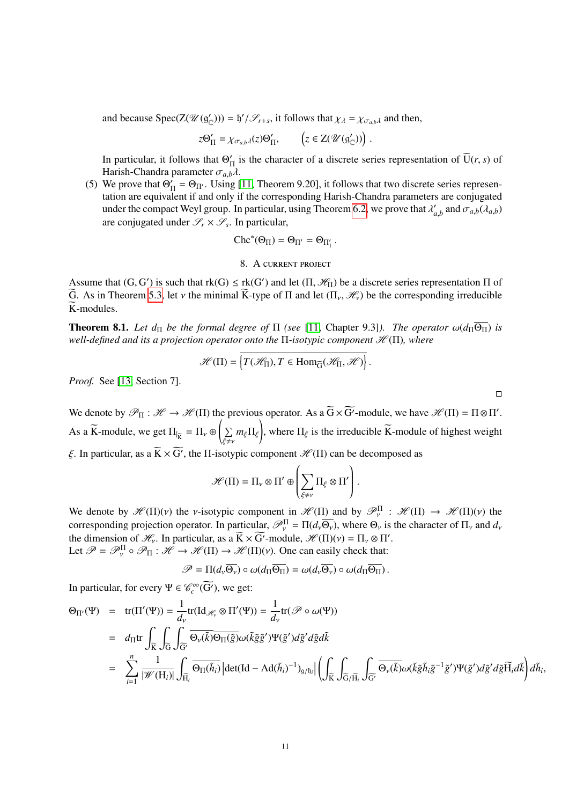and because  $Spec(Z(\mathcal{U}(g'_{\mathbb{C}}))) = \frac{b'}{\mathcal{S}_{r+s}}$ , it follows that  $\chi_{\lambda} = \chi_{\sigma_{a,b}\lambda}$  and then,

$$
z\Theta_{\Pi}' = \chi_{\sigma_{a,b}\lambda}(z)\Theta_{\Pi}', \qquad \left(z \in Z(\mathscr{U}(\mathfrak{g}'_{\mathbb{C}}))\right).
$$

In particular, it follows that  $\Theta'$  $\prod_{n=1}^{n}$  is the character of a discrete series representation of U(*r*, *s*) of Harish-Chandra parameter  $\sigma_{a,b}\lambda$ .

(5) We prove that  $\Theta'_{I}$  $V_{\Pi} = \Theta_{\Pi'}$ . Using [\[11,](#page-14-13) Theorem 9.20], it follows that two discrete series representation are equivalent if and only if the corresponding Harish-Chandra parameters are conjugated under the compact Weyl group. In particular, using Theorem [6.2,](#page-9-2) we prove that  $\lambda'$  $a'_{a,b}$  and  $\sigma_{a,b}(\lambda_{a,b})$ are conjugated under  $\mathcal{S}_r \times \mathcal{S}_s$ . In particular,

$$
\text{Chc}^*(\Theta_{\Pi})=\Theta_{\Pi'}=\Theta_{\Pi_1'}\;.
$$

### 8. A current project

<span id="page-10-0"></span>Assume that  $(G, G')$  is such that  $rk(G) \leq rk(G')$  and let  $(\Pi, \mathcal{H}_{\Pi})$  be a discrete series representation  $\Pi$  of  $\widetilde{G}$ . As in Theorem 5.3, let *y* the minimal  $\widetilde{K}$  type of  $\Pi$  and let  $(\Pi, \mathcal{H})$  be the correspond G. As in Theorem [5.3,](#page-8-3) let v the minimal  $\overline{K}$ -type of  $\Pi$  and let  $(\Pi_{\nu}, \mathcal{H}_{\nu})$  be the corresponding irreducible  $\widetilde{K}$ -modules.

**Theorem 8.1.** Let  $d_{\Pi}$  be the formal degree of  $\Pi$  (see [\[11,](#page-14-13) Chapter 9.3]). The operator  $\omega(d_{\Pi}\overline{\Theta_{\Pi}})$  is *well-defined and its a projection operator onto the* Π-*isotypic component*  $\mathcal{H}(\Pi)$ *, where* 

$$
\mathscr{H}(\Pi) = \left\{ T(\mathscr{H}_{\Pi}), T \in \text{Hom}_{\widetilde{G}}(\mathscr{H}_{\Pi}, \mathscr{H}) \right\}.
$$

*Proof.* See [\[13,](#page-14-0) Section 7].

We denote by  $\mathcal{P}_{\Pi}: \mathcal{H} \to \mathcal{H}(\Pi)$  the previous operator. As a  $\widetilde{G} \times \widetilde{G}'$ -module, we have  $\mathcal{H}(\Pi) = \Pi \otimes \Pi'$ . As a  $\widetilde{K}$ -module, we get  $\Pi_{|\widetilde{K}} = \Pi_{\nu} \oplus \left( \sum_{\xi \neq \nu} m_{\xi} \Pi_{\xi} \right)$  $\sqrt{\xi\neq}v$ ! , where  $\Pi_{\xi}$  is the irreducible K-module of highest weight ξ. In particular, as a  $\overline{K} \times \overline{G'}$ , the Π-isotypic component  $\mathcal{H}(\Pi)$  can be decomposed as

$$
\mathscr{H}(\Pi) = \Pi_{\nu} \otimes \Pi' \oplus \left( \sum_{\xi \neq \nu} \Pi_{\xi} \otimes \Pi' \right).
$$

We denote by  $\mathcal{H}(\Pi)(v)$  the *v*-isotypic component in  $\mathcal{H}(\Pi)$  and by  $\mathcal{P}_{v}^{\Pi}$ :  $\mathcal{H}(\Pi) \rightarrow \mathcal{H}(\Pi)(v)$  the corresponding projection operator. In particular  $\mathcal{P}_{v}^{\Pi} = \Pi(d, \Omega)$ , where  $\Omega$  is the character corresponding projection operator. In particular,  $\mathcal{P}_{\nu}^{\Pi} = \Pi(d_{\nu}\overline{\Theta_{\nu}})$ , where  $\Theta_{\nu}$  is the character of  $\Pi_{\nu}$  and  $d_{\nu}$ <br>the dimension of  $\mathcal{H}$ . In particular, see  $\widetilde{K} \times \widetilde{C}$  module,  $\mathcal{H}(\$ the dimension of  $\mathcal{H}_v$ . In particular, as a  $\widetilde{K} \times \widetilde{G}'$ -module,  $\mathcal{H}(\Pi)(v) = \Pi_v \otimes \Pi'$ .<br>Let  $\mathcal{P} = \mathcal{P}^{\Pi} \circ \mathcal{P}_{\Pi} : \mathcal{H} \to \mathcal{H}(\Pi) \to \mathcal{H}(\Pi)(v)$ . One can easily check that: Let  $\mathcal{P} = \mathcal{P}_v^{\Pi} \circ \mathcal{P}_{\Pi} : \mathcal{H} \to \mathcal{H}(\Pi) \to \mathcal{H}(\Pi)(v)$ . One can easily check that:

$$
\mathscr{P} = \Pi(d_{\nu} \overline{\Theta_{\nu}}) \circ \omega(d_{\Pi} \overline{\Theta_{\Pi}}) = \omega(d_{\nu} \overline{\Theta_{\nu}}) \circ \omega(d_{\Pi} \overline{\Theta_{\Pi}}).
$$

In particular, for every  $\Psi \in \mathcal{C}_c^{\infty}(\widetilde{G'})$ , we get:

$$
\Theta_{\Pi'}(\Psi) = \text{tr}(\Pi'(\Psi)) = \frac{1}{d_{\nu}} \text{tr}(\text{Id}_{\mathcal{H}_{\nu}} \otimes \Pi'(\Psi)) = \frac{1}{d_{\nu}} \text{tr}(\mathcal{P} \circ \omega(\Psi))
$$
\n
$$
= d_{\Pi} \text{tr} \int_{\widetilde{K}} \int_{\widetilde{G}} \int_{\widetilde{G'}} \overline{\Theta_{\nu}(\widetilde{k})} \overline{\Theta_{\Pi}(\widetilde{g})} \omega(\widetilde{k}\widetilde{g}\widetilde{g}') \Psi(\widetilde{g}') d\widetilde{g}' d\widetilde{g} d\widetilde{k}
$$
\n
$$
= \sum_{i=1}^{n} \frac{1}{|\mathcal{W}(H_{i})|} \int_{\widetilde{H}_{i}} \overline{\Theta_{\Pi}(\widetilde{h}_{i})} |\text{det}(\text{Id} - \text{Ad}(\widetilde{h}_{i})^{-1})_{g/b_{i}}| \left( \int_{\widetilde{K}} \int_{\widetilde{G}/\widetilde{H}_{i}} \int_{\widetilde{G'}} \overline{\Theta_{\nu}(\widetilde{k})} \omega(\widetilde{k}\widetilde{g}\widetilde{h}_{i}\widetilde{g}^{-1}\widetilde{g}') \Psi(\widetilde{g}') d\widetilde{g}' d\widetilde{g}\widetilde{H}_{i} d\widetilde{k} \right) d\widetilde{h}_{i},
$$

 $\Box$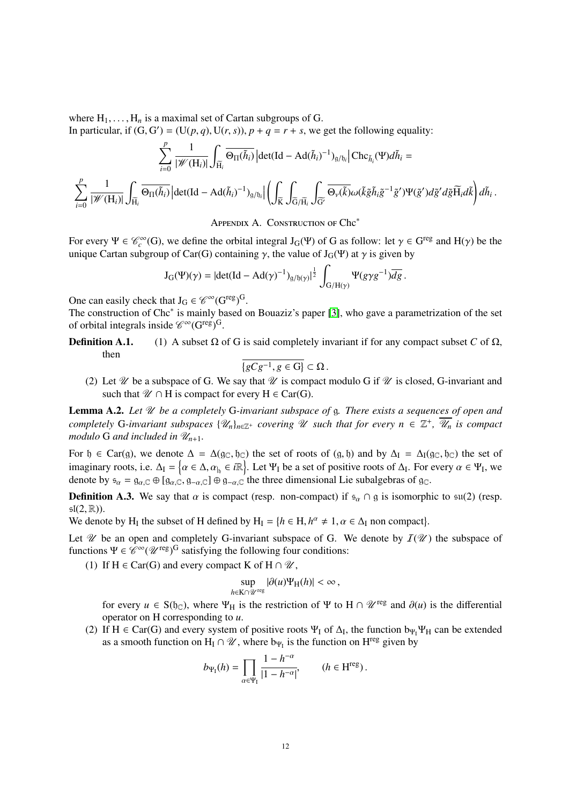where  $H_1, \ldots, H_n$  is a maximal set of Cartan subgroups of G.

In particular, if  $(G, G') = (U(p, q), U(r, s)), p + q = r + s$ , we get the following equality:

$$
\sum_{i=0}^p\frac{1}{|\mathscr{W}(\mathbf{H}_i)|}\int_{\widetilde{\mathbf{H}}_i}\overline{\Theta_{\Pi}(\tilde{h}_i)}\left|\det(\mathrm{Id}-\mathrm{Ad}(\tilde{h}_i)^{-1})_{\mathfrak{g}/\mathfrak{h}_i}\right|\mathrm{Chc}_{\tilde{h}_i}(\Psi)d\tilde{h}_i=\\ \sum_{i=0}^p\frac{1}{|\mathscr{W}(\mathbf{H}_i)|}\int_{\widetilde{\mathbf{H}}_i}\overline{\Theta_{\Pi}(\tilde{h}_i)}\left|\det(\mathrm{Id}-\mathrm{Ad}(\tilde{h}_i)^{-1})_{\mathfrak{g}/\mathfrak{h}_i}\right|\left(\int_{\widetilde{K}}\int_{\widetilde{\mathbf{G}}/\widetilde{\mathbf{H}}_i}\int_{\widetilde{\mathbf{G}}'}\overline{\Theta_{\nu}(\tilde{k})}\omega(\tilde{k}\tilde{g}\tilde{h}_i\tilde{g}^{-1}\tilde{g}')\Psi(\tilde{g}')d\tilde{g}'d\tilde{g}\widetilde{\mathbf{H}}_i d\tilde{k}\right)d\tilde{h}_i.
$$

Appendix A. Construction of Chc<sup>∗</sup>

<span id="page-11-0"></span>For every  $\Psi \in \mathcal{C}_c^{\infty}(G)$ , we define the orbital integral  $J_G(\Psi)$  of G as follow: let  $\gamma \in G^{\text{reg}}$  and  $H(\gamma)$  be the unique Cartan subgroup of Car(G) containing  $\gamma$  the value of  $L_G(\Psi)$  at  $\gamma$  is given by unique Cartan subgroup of Car(G) containing  $\gamma$ , the value of J<sub>G</sub>(Ψ) at  $\gamma$  is given by

$$
J_G(\Psi)(\gamma) = |\det(\mathrm{Id} - \mathrm{Ad}(\gamma)^{-1})_{g/\mathfrak{h}(\gamma)}|^{\frac{1}{2}} \int_{G/H(\gamma)} \Psi(g\gamma g^{-1}) \overline{dg}.
$$

One can easily check that  $J_G \in \mathscr{C}^{\infty}(G^{reg})^G$ .

The construction of Chc<sup>\*</sup> is mainly based on Bouaziz's paper [\[3\]](#page-14-17), who gave a parametrization of the set of orbital integrals inside  $\mathscr{C}^{\infty}(\mathbf{G}^{\text{reg}})^{\text{G}}$ .

**Definition A.1.** (1) A subset  $\Omega$  of G is said completely invariant if for any compact subset *C* of  $\Omega$ , then

$$
\overline{\{gCg^{-1}, g\in G\}}\subset\Omega.
$$

 ${gCg^{-1}, g ∈ G} ⊂ Ω$ .<br>(2) Let *W* be a subspace of G. We say that *W* is compact modulo G if *W* is closed, G-invariant and such that  $\mathcal{U} \cap H$  is compact for every  $H \in \text{Car}(G)$ .

<span id="page-11-1"></span>Lemma A.2. Let  $\mathcal U$  be a completely G-invariant subspace of g. There exists a sequences of open and *completely* G-invariant subspaces  $\{ \mathscr{U}_n \}_{n \in \mathbb{Z}^+}$  covering  $\mathscr U$  such that for every  $n \in \mathbb{Z}^+$ ,  $\overline{\mathscr U}_n$  is compact *modulo* G *and included in*  $\mathcal{U}_{n+1}$ *.* 

For  $\mathfrak{h} \in \text{Car}(\mathfrak{g})$ , we denote  $\Delta = \Delta(\mathfrak{g}_{\mathbb{C}}, \mathfrak{h}_{\mathbb{C}})$  the set of roots of  $(\mathfrak{g}, \mathfrak{h})$  and by  $\Delta_I = \Delta_I(\mathfrak{g}_{\mathbb{C}}, \mathfrak{h}_{\mathbb{C}})$  the set of imaginary roots, i.e.  $\Delta_I = \{ \alpha \in \Delta, \alpha_{\vert_b} \in i\mathbb{R} \}$ . Let  $\Psi_I$  be a set of positive roots of  $\Delta_I$ . For every  $\alpha \in \Psi_I$ , we denote by  $\epsilon = \alpha_{\alpha} \in \mathbb{R} \setminus \{ \alpha_{\alpha}, \alpha_{\alpha}\} \oplus \{ \alpha_{\alpha}, \alpha_{\alpha}\}$  the three dimensional Lie s denote by  $s_\alpha = g_{\alpha,\mathbb{C}} \oplus [g_{\alpha,\mathbb{C}}, g_{-\alpha,\mathbb{C}}] \oplus g_{-\alpha,\mathbb{C}}$  the three dimensional Lie subalgebras of g $\infty$ .

**Definition A.3.** We say that  $\alpha$  is compact (resp. non-compact) if  $s_{\alpha} \cap g$  is isomorphic to  $\mathfrak{su}(2)$  (resp.  $\mathfrak{sl}(2,\mathbb{R})$ ).

We denote by H<sub>I</sub> the subset of H defined by H<sub>I</sub> =  $\{h \in H, h^{\alpha} \neq 1, \alpha \in \Delta_I \}$  non compact).

Let  $\mathcal U$  be an open and completely G-invariant subspace of G. We denote by  $I(\mathcal U)$  the subspace of functions  $\Psi \in \mathscr{C}^{\infty}(\mathscr{U}^{\text{reg}})^G$  satisfying the following four conditions:

(1) If  $H \in \text{Car}(G)$  and every compact K of  $H \cap \mathcal{U}$ ,

$$
\sup_{h\in K\cap\mathscr{U}^{\text{reg}}}|\partial(u)\Psi_H(h)|<\infty,
$$

for every  $u \in S(f_{\mathbb{C}})$ , where  $\Psi_H$  is the restriction of  $\Psi$  to  $H \cap \mathscr{U}^{\text{reg}}$  and  $\partial(u)$  is the differential operator on H corresponding to *u*.

(2) If H  $\in$  Car(G) and every system of positive roots  $\Psi_I$  of  $\Delta_I$ , the function  $b_{\Psi_I}\Psi_H$  can be extended as a smooth function on  $H_I \cap \mathcal{U}$ , where  $b_{\Psi_I}$  is the function on  $H^{reg}$  given by

$$
b_{\Psi_1}(h) = \prod_{\alpha \in \Psi_1} \frac{1 - h^{-\alpha}}{|1 - h^{-\alpha}|}, \qquad (h \in H^{\text{reg}}).
$$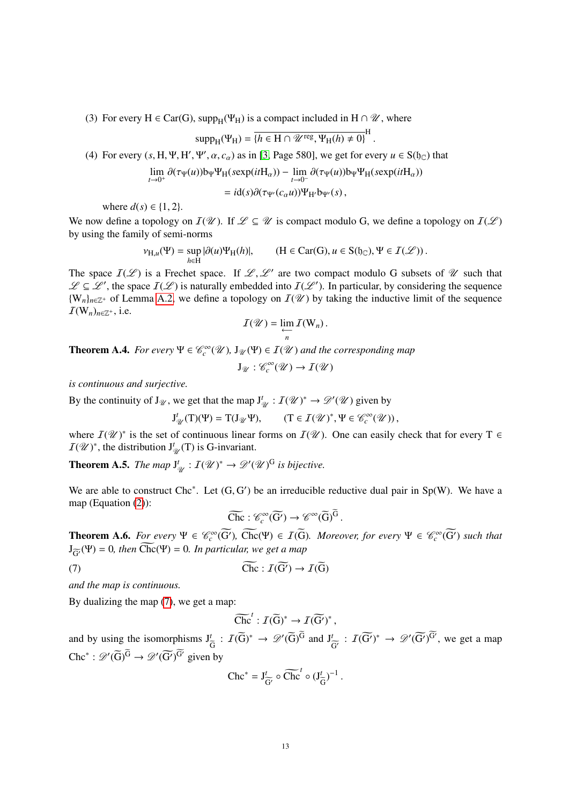(3) For every H  $\in$  Car(G), supp<sub>H</sub>( $\Psi$ <sub>H</sub>) is a compact included in H  $\cap \mathcal{U}$ , where

$$
supp_{H}(\Psi_{H}) = \overline{\{h \in H \cap \mathscr{U}^{\text{reg}}, \Psi_{H}(h) \neq 0\}}^{H}.
$$

(4) For every  $(s, H, \Psi, H', \Psi', \alpha, c_{\alpha})$  as in [\[3,](#page-14-17) Page 580], we get for every  $u \in S(f_{\mathbb{C}})$  that

$$
\lim_{t \to 0^+} \partial(\tau_{\Psi}(u)) b_{\Psi} \Psi_{\text{H}}(\text{sexp}(itH_{\alpha})) - \lim_{t \to 0^-} \partial(\tau_{\Psi}(u)) b_{\Psi} \Psi_{\text{H}}(\text{sexp}(itH_{\alpha}))
$$

$$
= id(s) \partial(\tau_{\Psi'}(c_{\alpha}u)) \Psi_{\text{H}'} b_{\Psi'}(s),
$$

where  $d(s) \in \{1, 2\}$ .

We now define a topology on  $I(\mathcal{U})$ . If  $\mathcal{L} \subseteq \mathcal{U}$  is compact modulo G, we define a topology on  $I(\mathcal{L})$ by using the family of semi-norms

$$
\nu_{H,u}(\Psi)=\sup_{h\in H}|\partial(u)\Psi_H(h)|, \qquad (H\in \text{Car}(G), u\in S({\mathfrak h}_{\mathbb C}), \Psi\in {\mathcal I}({\mathcal L}))\,.
$$

The space  $I(\mathcal{L})$  is a Frechet space. If  $\mathcal{L}, \mathcal{L}'$  are two compact modulo G subsets of  $\mathcal{U}$  such that  $\mathcal{L} \subset \mathcal{L}'$  the space  $I(\mathcal{L})$  is naturally embedded into  $I(\mathcal{L}')$ . In particular, by considering the  $\mathscr{L} \subseteq \mathscr{L}'$ , the space  $I(\mathscr{L})$  is naturally embedded into  $I(\mathscr{L}')$ . In particular, by considering the sequence  ${W_n}_{n \in \mathbb{Z}^+}$  of Lemma [A.2,](#page-11-1) we define a topology on  $I(\mathcal{U})$  by taking the inductive limit of the sequence  $\mathcal{I}(\mathbf{W}_n)_{n \in \mathbb{Z}^+}$ , i.e.

$$
I(\mathscr{U})=\lim_{\substack{\longleftarrow\\n}}I(\mathsf{W}_n).
$$

**Theorem A.4.** *For every*  $\Psi \in \mathcal{C}_c^{\infty}(\mathcal{U})$ ,  $J_{\mathcal{U}}(\Psi) \in I(\mathcal{U})$  and the corresponding map

$$
J_{\mathcal{U}}:\mathscr{C}_c^\infty(\mathcal{U})\to\mathcal{I}(\mathcal{U})
$$

*is continuous and surjective.*

By the continuity of  $J_{\mathcal{U}}$ , we get that the map  $J'_{\mathcal{U}} : I(\mathcal{U})^* \to \mathcal{D}'(\mathcal{U})$  given by

$$
J^t_{\mathcal{U}}(T)(\Psi) = T(J_{\mathcal{U}}\Psi), \qquad (T \in \mathcal{I}(\mathcal{U})^*, \Psi \in \mathcal{C}_c^{\infty}(\mathcal{U})),
$$

where  $I(\mathcal{U})^*$  is the set of continuous linear forms on  $I(\mathcal{U})$ . One can easily check that for every T  $\in$  $I(\mathscr{U})^*$ , the distribution  $J^t_{\mathscr{U}}(T)$  is G-invariant.

Theorem A.5. *The map* J *t*  $\mathcal{U}_\mathscr{U} : I(\mathscr{U})^* \to \mathscr{D}'(\mathscr{U})^G$  is bijective.

We are able to construct Chc<sup>∗</sup>. Let  $(G, G')$  be an irreducible reductive dual pair in Sp(W). We have a man (Equation (2)). map (Equation [\(2\)](#page-5-1)):

<span id="page-12-0"></span>
$$
\widetilde{\text{Chc}}: \mathscr{C}_c^{\infty}(\widetilde{\text{G}'}) \to \mathscr{C}^{\infty}(\widetilde{\text{G}})^{\widetilde{\text{G}}}
$$

**Theorem A.6.** For every  $\Psi \in \mathcal{C}_c^{\infty}(\widetilde{G})$ ,  $\widetilde{Chc}(\Psi) \in \widetilde{I(G)}$ . Moreover, for every  $\Psi \in \mathcal{C}_c^{\infty}(\widetilde{G})$  such that  $J_{\widetilde{C}}(\Psi) = 0$ , then  $\widetilde{C}$ hc( $\Psi$ ) = 0*. In particular, we get a map* 

(7) 
$$
\widetilde{\text{Che}}: \widetilde{I(G')} \to \widetilde{I(G)}
$$

*and the map is continuous.*

By dualizing the map [\(7\)](#page-12-0), we get a map:

$$
\widetilde{\mathrm{Chc}}^t: \widetilde{\mathcal{I}(G)}^* \to \widetilde{\mathcal{I}(G')}^*,
$$

and by using the isomorphisms  $J_{\tilde{G}}^t$  :  $I(\tilde{G})^* \to \mathscr{D}'(\tilde{G})^G$  and  $J_{\tilde{G}}^t$ Chc<sup>\*</sup>:  $\mathscr{D}'(\widetilde{G})^{\widetilde{G}} \to \mathscr{D}'(\widetilde{G}')^{\widetilde{G}'}$  given by  $\frac{t}{\widetilde{G}'}$ :  $I(\widetilde{G'})^* \rightarrow \mathscr{D}'(\widetilde{G'})^{\widetilde{G}'},$  we get a map

$$
\mathrm{Chc}^* = J_{\widetilde{G}'}^t \circ \widetilde{\mathrm{Chc}}^t \circ (J_{\widetilde{G}}^t)^{-1}
$$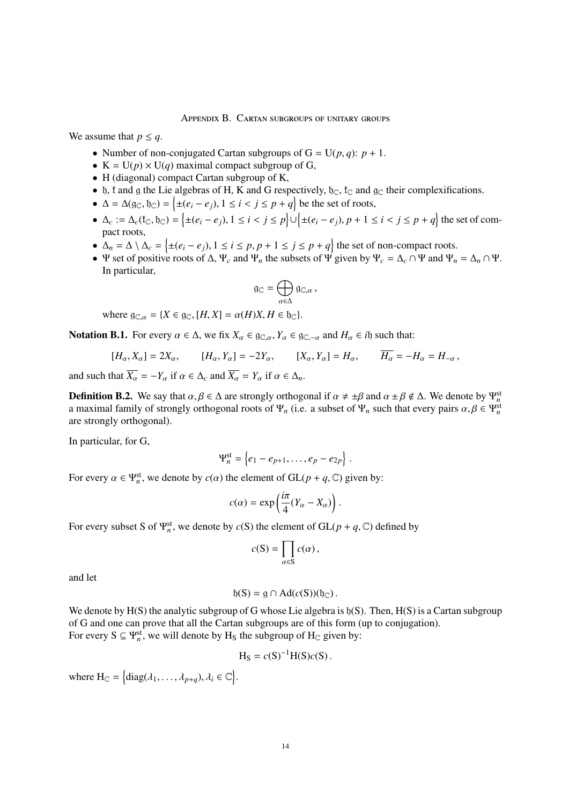Appendix B. Cartan subgroups of unitary groups

<span id="page-13-0"></span>We assume that  $p \leq q$ .

- Number of non-conjugated Cartan subgroups of  $G = U(p, q)$ :  $p + 1$ .
- $K = U(p) \times U(q)$  maximal compact subgroup of G,
- H (diagonal) compact Cartan subgroup of K,
- b, t and g the Lie algebras of H, K and G respectively,  $\mathfrak{h}_{\mathbb{C}}$ ,  $\mathfrak{t}_{\mathbb{C}}$  and  $\mathfrak{g}_{\mathbb{C}}$  their complexifications.
- $\Delta = \Delta(g_C, \mathfrak{h}_C) = \left\{ \pm (e_i e_j), 1 \le i < j \le p + q \right\}$  be the set of roots,
- $\Delta_c := \Delta_c(f_C, f_C) = \left\{ \pm (e_i e_j), 1 \le i < j \le p \right\} \cup \left\{ \pm (e_i e_j), p + 1 \le i < j \le p + q \right\}$  the set of compact roots pact roots,
- $\Delta_n = \Delta \setminus \Delta_c = \{ \pm (e_i e_j), 1 \le i \le p, p + 1 \le j \le p + q \}$  the set of non-compact roots.<br>■  $\Psi$  set of positive roots of  $\Delta \Psi$  and  $\Psi$  the subsets of  $\Psi$  given by  $\Psi = \Delta \cap \Psi$  and  $\Psi$
- Ψ set of positive roots of  $\Delta$ ,  $\Psi_c$  and  $\Psi_n$  the subsets of  $\Psi$  given by  $\Psi_c = \Delta_c \cap \Psi$  and  $\Psi_n = \Delta_n \cap \Psi$ . In particular,

$$
\mathfrak{g}_{\mathbb{C}}=\bigoplus_{\alpha\in\Delta}\mathfrak{g}_{\mathbb{C},\alpha}\,,
$$

where  $g_{\mathbb{C},\alpha} = \{X \in g_{\mathbb{C}}, [H,X] = \alpha(H)X, H \in \mathfrak{h}_{\mathbb{C}}\}.$ 

**Notation B.1.** For every  $\alpha \in \Delta$ , we fix  $X_{\alpha} \in \mathfrak{g}_{\mathbb{C},\alpha}, Y_{\alpha} \in \mathfrak{g}_{\mathbb{C},-\alpha}$  and  $H_{\alpha} \in i\mathfrak{h}$  such that:

$$
[H_{\alpha}, X_{\alpha}] = 2X_{\alpha}, \qquad [H_{\alpha}, Y_{\alpha}] = -2Y_{\alpha}, \qquad [X_{\alpha}, Y_{\alpha}] = H_{\alpha}, \qquad \overline{H_{\alpha}} = -H_{\alpha} = H_{-\alpha},
$$

and such that  $\overline{X_{\alpha}} = -Y_{\alpha}$  if  $\alpha \in \Delta_c$  and  $\overline{X_{\alpha}} = Y_{\alpha}$  if  $\alpha \in \Delta_n$ .

**Definition B.2.** We say that  $\alpha, \beta \in \Delta$  are strongly orthogonal if  $\alpha \neq \pm \beta$  and  $\alpha \pm \beta \notin \Delta$ . We denote by  $\Psi_n^{\text{st}}$  a maximal family of strongly orthogonal roots of  $\Psi$  (i.e. a subset of  $\Psi$  such that every pair a maximal family of strongly orthogonal roots of  $\Psi_n$  (i.e. a subset of  $\Psi_n$  such that every pairs  $\alpha, \beta \in \Psi_n^{\text{st}}$ <br>are strongly orthogonal) are strongly orthogonal).

In particular, for G,

$$
\Psi_n^{\text{st}} = \left\{ e_1 - e_{p+1}, \ldots, e_p - e_{2p} \right\}.
$$

For every  $\alpha \in \Psi_n^{\text{st}}$ , we denote by  $c(\alpha)$  the element of  $GL(p+q, \mathbb{C})$  given by:

$$
c(\alpha) = \exp\left(\frac{i\pi}{4}(Y_{\alpha} - X_{\alpha})\right).
$$

For every subset S of  $\Psi_n^{\text{st}}$ , we denote by *c*(S) the element of GL(*p* + *q*,  $\mathbb{C}$ ) defined by

$$
c(S) = \prod_{\alpha \in S} c(\alpha),
$$

and let

$$
\mathfrak{h}(S) = \mathfrak{g} \cap \mathrm{Ad}(c(S))(\mathfrak{h}_{\mathbb{C}}).
$$

We denote by  $H(S)$  the analytic subgroup of G whose Lie algebra is  $h(S)$ . Then,  $H(S)$  is a Cartan subgroup of G and one can prove that all the Cartan subgroups are of this form (up to conjugation). For every  $S \subseteq \Psi_n^{\text{st}}$ , we will denote by  $H_S$  the subgroup of  $H_C$  given by:

$$
H_S = c(S)^{-1}H(S)c(S).
$$

where  $H_{\mathbb{C}} = \left\{ \text{diag}(\lambda_1, \dots, \lambda_{p+q}), \lambda_i \in \mathbb{C} \right\}.$